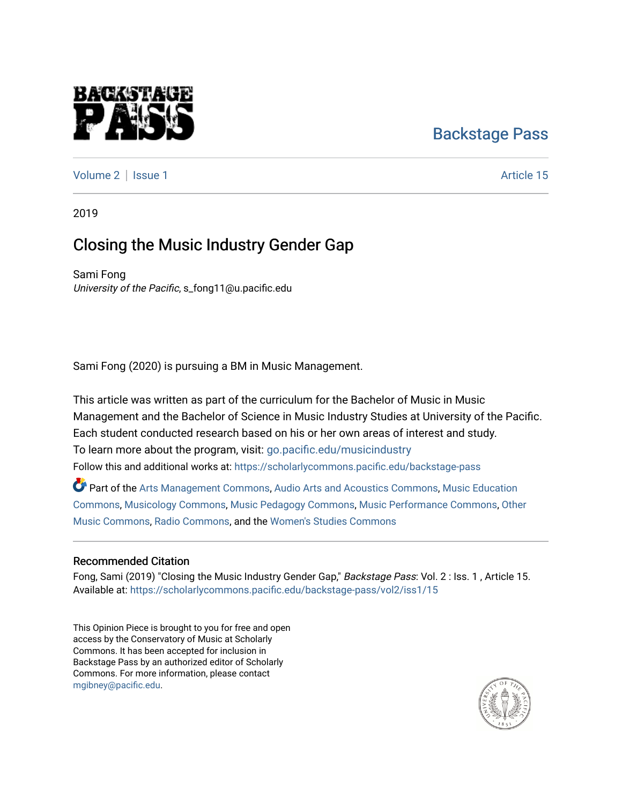# [Backstage Pass](https://scholarlycommons.pacific.edu/backstage-pass)

[Volume 2](https://scholarlycommons.pacific.edu/backstage-pass/vol2) | [Issue 1](https://scholarlycommons.pacific.edu/backstage-pass/vol2/iss1) Article 15

raggre

2019

## Closing the Music Industry Gender Gap

Sami Fong University of the Pacific, s\_fong11@u.pacific.edu

Sami Fong (2020) is pursuing a BM in Music Management.

This article was written as part of the curriculum for the Bachelor of Music in Music Management and the Bachelor of Science in Music Industry Studies at University of the Pacific. Each student conducted research based on his or her own areas of interest and study. To learn more about the program, visit: [go.pacific.edu/musicindustry](http://go.pacific.edu/musicindustry) Follow this and additional works at: [https://scholarlycommons.pacific.edu/backstage-pass](https://scholarlycommons.pacific.edu/backstage-pass?utm_source=scholarlycommons.pacific.edu%2Fbackstage-pass%2Fvol2%2Fiss1%2F15&utm_medium=PDF&utm_campaign=PDFCoverPages) 

Part of the [Arts Management Commons,](http://network.bepress.com/hgg/discipline/1146?utm_source=scholarlycommons.pacific.edu%2Fbackstage-pass%2Fvol2%2Fiss1%2F15&utm_medium=PDF&utm_campaign=PDFCoverPages) [Audio Arts and Acoustics Commons](http://network.bepress.com/hgg/discipline/1140?utm_source=scholarlycommons.pacific.edu%2Fbackstage-pass%2Fvol2%2Fiss1%2F15&utm_medium=PDF&utm_campaign=PDFCoverPages), Music Education [Commons](http://network.bepress.com/hgg/discipline/1246?utm_source=scholarlycommons.pacific.edu%2Fbackstage-pass%2Fvol2%2Fiss1%2F15&utm_medium=PDF&utm_campaign=PDFCoverPages), [Musicology Commons](http://network.bepress.com/hgg/discipline/521?utm_source=scholarlycommons.pacific.edu%2Fbackstage-pass%2Fvol2%2Fiss1%2F15&utm_medium=PDF&utm_campaign=PDFCoverPages), [Music Pedagogy Commons](http://network.bepress.com/hgg/discipline/1129?utm_source=scholarlycommons.pacific.edu%2Fbackstage-pass%2Fvol2%2Fiss1%2F15&utm_medium=PDF&utm_campaign=PDFCoverPages), [Music Performance Commons,](http://network.bepress.com/hgg/discipline/1128?utm_source=scholarlycommons.pacific.edu%2Fbackstage-pass%2Fvol2%2Fiss1%2F15&utm_medium=PDF&utm_campaign=PDFCoverPages) [Other](http://network.bepress.com/hgg/discipline/524?utm_source=scholarlycommons.pacific.edu%2Fbackstage-pass%2Fvol2%2Fiss1%2F15&utm_medium=PDF&utm_campaign=PDFCoverPages) [Music Commons,](http://network.bepress.com/hgg/discipline/524?utm_source=scholarlycommons.pacific.edu%2Fbackstage-pass%2Fvol2%2Fiss1%2F15&utm_medium=PDF&utm_campaign=PDFCoverPages) [Radio Commons](http://network.bepress.com/hgg/discipline/1144?utm_source=scholarlycommons.pacific.edu%2Fbackstage-pass%2Fvol2%2Fiss1%2F15&utm_medium=PDF&utm_campaign=PDFCoverPages), and the [Women's Studies Commons](http://network.bepress.com/hgg/discipline/561?utm_source=scholarlycommons.pacific.edu%2Fbackstage-pass%2Fvol2%2Fiss1%2F15&utm_medium=PDF&utm_campaign=PDFCoverPages)

#### Recommended Citation

Fong, Sami (2019) "Closing the Music Industry Gender Gap," Backstage Pass: Vol. 2 : Iss. 1, Article 15. Available at: [https://scholarlycommons.pacific.edu/backstage-pass/vol2/iss1/15](https://scholarlycommons.pacific.edu/backstage-pass/vol2/iss1/15?utm_source=scholarlycommons.pacific.edu%2Fbackstage-pass%2Fvol2%2Fiss1%2F15&utm_medium=PDF&utm_campaign=PDFCoverPages)

This Opinion Piece is brought to you for free and open access by the Conservatory of Music at Scholarly Commons. It has been accepted for inclusion in Backstage Pass by an authorized editor of Scholarly Commons. For more information, please contact [mgibney@pacific.edu.](mailto:mgibney@pacific.edu)

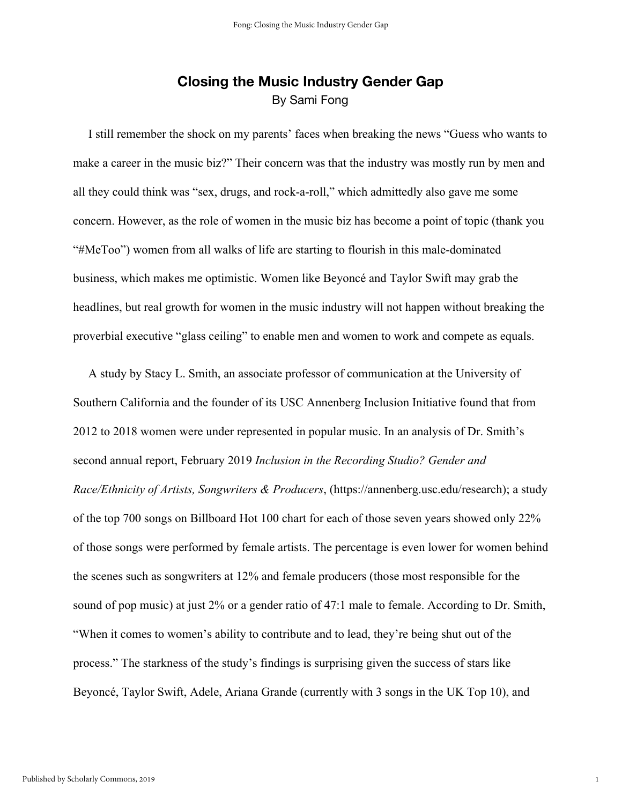### **Closing the Music Industry Gender Gap** By Sami Fong

 I still remember the shock on my parents' faces when breaking the news "Guess who wants to make a career in the music biz?" Their concern was that the industry was mostly run by men and all they could think was "sex, drugs, and rock-a-roll," which admittedly also gave me some concern. However, as the role of women in the music biz has become a point of topic (thank you "#MeToo") women from all walks of life are starting to flourish in this male-dominated business, which makes me optimistic. Women like Beyoncé and Taylor Swift may grab the headlines, but real growth for women in the music industry will not happen without breaking the proverbial executive "glass ceiling" to enable men and women to work and compete as equals.

 A study by Stacy L. Smith, an associate professor of communication at the University of Southern California and the founder of its USC Annenberg Inclusion Initiative found that from 2012 to 2018 women were under represented in popular music. In an analysis of Dr. Smith's second annual report, February 2019 *Inclusion in the Recording Studio? Gender and Race/Ethnicity of Artists, Songwriters & Producers*, (https://annenberg.usc.edu/research); a study of the top 700 songs on Billboard Hot 100 chart for each of those seven years showed only 22% of those songs were performed by female artists. The percentage is even lower for women behind the scenes such as songwriters at 12% and female producers (those most responsible for the sound of pop music) at just 2% or a gender ratio of 47:1 male to female. According to Dr. Smith, "When it comes to women's ability to contribute and to lead, they're being shut out of the process." The starkness of the study's findings is surprising given the success of stars like Beyoncé, Taylor Swift, Adele, Ariana Grande (currently with 3 songs in the UK Top 10), and

1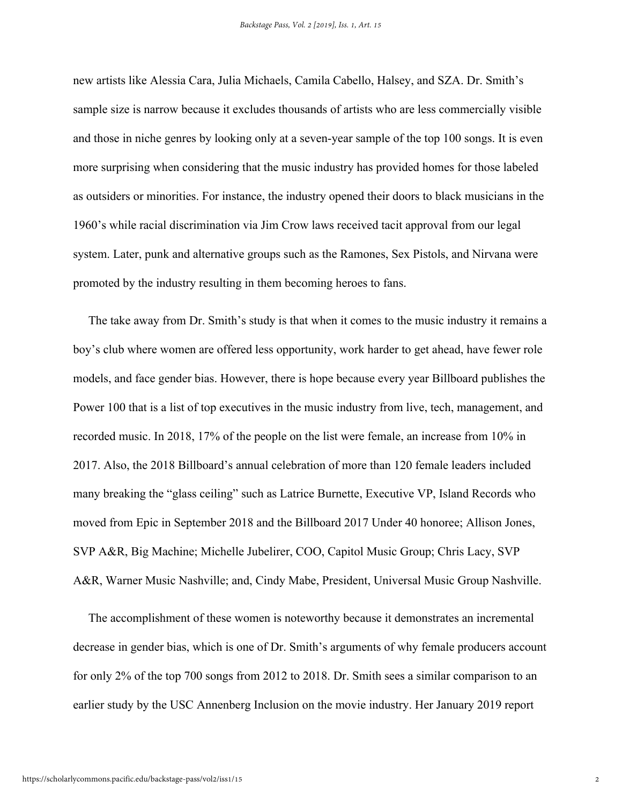new artists like Alessia Cara, Julia Michaels, Camila Cabello, Halsey, and SZA. Dr. Smith's sample size is narrow because it excludes thousands of artists who are less commercially visible and those in niche genres by looking only at a seven-year sample of the top 100 songs. It is even more surprising when considering that the music industry has provided homes for those labeled as outsiders or minorities. For instance, the industry opened their doors to black musicians in the 1960's while racial discrimination via Jim Crow laws received tacit approval from our legal system. Later, punk and alternative groups such as the Ramones, Sex Pistols, and Nirvana were promoted by the industry resulting in them becoming heroes to fans.

 The take away from Dr. Smith's study is that when it comes to the music industry it remains a boy's club where women are offered less opportunity, work harder to get ahead, have fewer role models, and face gender bias. However, there is hope because every year Billboard publishes the Power 100 that is a list of top executives in the music industry from live, tech, management, and recorded music. In 2018, 17% of the people on the list were female, an increase from 10% in 2017. Also, the 2018 Billboard's annual celebration of more than 120 female leaders included many breaking the "glass ceiling" such as Latrice Burnette, Executive VP, Island Records who moved from Epic in September 2018 and the Billboard 2017 Under 40 honoree; Allison Jones, SVP A&R, Big Machine; Michelle Jubelirer, COO, Capitol Music Group; Chris Lacy, SVP A&R, Warner Music Nashville; and, Cindy Mabe, President, Universal Music Group Nashville.

 The accomplishment of these women is noteworthy because it demonstrates an incremental decrease in gender bias, which is one of Dr. Smith's arguments of why female producers account for only 2% of the top 700 songs from 2012 to 2018. Dr. Smith sees a similar comparison to an earlier study by the USC Annenberg Inclusion on the movie industry. Her January 2019 report

2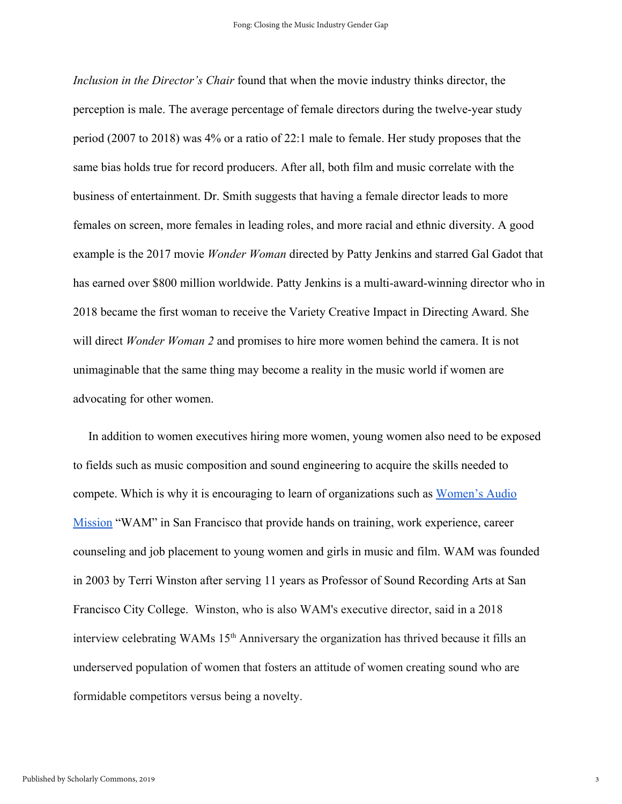*Inclusion in the Director's Chair* found that when the movie industry thinks director, the perception is male. The average percentage of female directors during the twelve-year study period (2007 to 2018) was 4% or a ratio of 22:1 male to female. Her study proposes that the same bias holds true for record producers. After all, both film and music correlate with the business of entertainment. Dr. Smith suggests that having a female director leads to more females on screen, more females in leading roles, and more racial and ethnic diversity. A good example is the 2017 movie *Wonder Woman* directed by Patty Jenkins and starred Gal Gadot that has earned over \$800 million worldwide. Patty Jenkins is a multi-award-winning director who in 2018 became the first woman to receive the Variety Creative Impact in Directing Award. She will direct *Wonder Woman 2* and promises to hire more women behind the camera. It is not unimaginable that the same thing may become a reality in the music world if women are advocating for other women.

 In addition to women executives hiring more women, young women also need to be exposed to fields such as music composition and sound engineering to acquire the skills needed to compete. Which is why it is encouraging to learn of organizations such as [Women's Audio](https://www.womensaudiomission.org/) [Mission](https://www.womensaudiomission.org/) "WAM" in San Francisco that provide hands on training, work experience, career counseling and job placement to young women and girls in music and film. WAM was founded in 2003 by Terri Winston after serving 11 years as Professor of Sound Recording Arts at San Francisco City College. Winston, who is also WAM's executive director, said in a 2018 interview celebrating WAMs 15<sup>th</sup> Anniversary the organization has thrived because it fills an underserved population of women that fosters an attitude of women creating sound who are formidable competitors versus being a novelty.